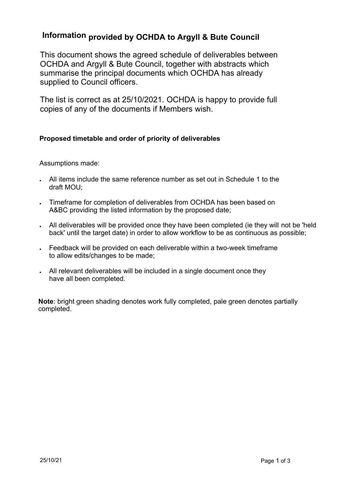# **Information provided by OCHDA to Argyll & Bute Council**

This document shows the agreed schedule of deliverables between OCHDA and Argyll & Bute Council, together with abstracts which summarise the principal documents which OCHDA has already supplied to Council officers.

The list is correct as at 25/10/2021. OCHDA is happy to provide full copies of any of the documents if Members wish.

# **Proposed timetable and order of priority of deliverables**

Assumptions made:

- All items include the same reference number as set out in Schedule 1 to the draft MOU;
- Timeframe for completion of deliverables from OCHDA has been based on A&BC providing the listed information by the proposed date;
- All deliverables will be provided once they have been completed (ie they will not be 'held back' until the target date) in order to allow workflow to be as continuous as possible;
- Feedback will be provided on each deliverable within a two-week timeframe to allow edits/changes to be made;
- All relevant deliverables will be included in a single document once they have all been completed.

**Note**: bright green shading denotes work fully completed, pale green denotes partially completed.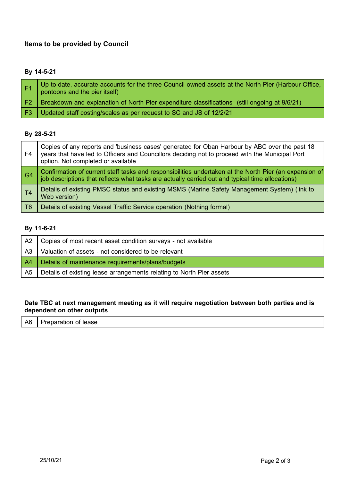# **Items to be provided by Council**

# **By 14-5-21**

|                | Up to date, accurate accounts for the three Council owned assets at the North Pier (Harbour Office,<br>pontoons and the pier itself) |
|----------------|--------------------------------------------------------------------------------------------------------------------------------------|
| F <sub>2</sub> | Breakdown and explanation of North Pier expenditure classifications (still ongoing at 9/6/21)                                        |
| -F3            | Updated staff costing/scales as per request to SC and JS of 12/2/21                                                                  |

#### **By 28-5-21**

| F4             | Copies of any reports and 'business cases' generated for Oban Harbour by ABC over the past 18<br>years that have led to Officers and Councillors deciding not to proceed with the Municipal Port<br>option. Not completed or available |
|----------------|----------------------------------------------------------------------------------------------------------------------------------------------------------------------------------------------------------------------------------------|
| G <sub>4</sub> | Confirmation of current staff tasks and responsibilities undertaken at the North Pier (an expansion of<br>job descriptions that reflects what tasks are actually carried out and typical time allocations)                             |
| T <sub>4</sub> | Details of existing PMSC status and existing MSMS (Marine Safety Management System) (link to<br>Web version)                                                                                                                           |
| T <sub>6</sub> | Details of existing Vessel Traffic Service operation (Nothing formal)                                                                                                                                                                  |

#### **By 11-6-21**

| A2             | Copies of most recent asset condition surveys - not available        |
|----------------|----------------------------------------------------------------------|
| A3             | Valuation of assets - not considered to be relevant                  |
| A <sup>4</sup> | Details of maintenance requirements/plans/budgets                    |
| A5             | Details of existing lease arrangements relating to North Pier assets |

#### **Date TBC at next management meeting as it will require negotiation between both parties and is dependent on other outputs**

 $\overline{A6}$  | Preparation of lease